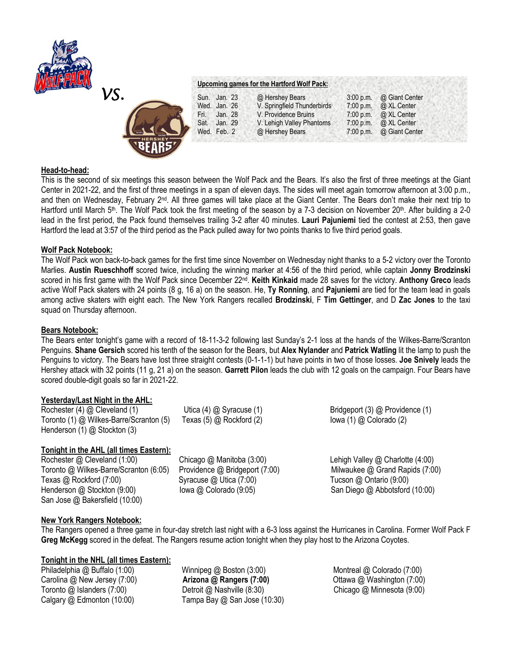



# **Upcoming games for the Hartford Wolf Pack:**

|      | Sun. Jan. 23 | @ Hershey Bears             | 3:00 p.m. @ Giant Center     |
|------|--------------|-----------------------------|------------------------------|
|      | Wed. Jan. 26 | V. Springfield Thunderbirds | 7:00 p.m. $\omega$ XL Center |
| Fri. | Jan. 28      | V. Providence Bruins        | 7:00 p.m. $\omega$ XL Center |
| Sat. | Jan. 29      | V. Lehigh Valley Phantoms   | 7:00 p.m. $\omega$ XL Center |
|      | Wed. Feb. 2  | @ Hershey Bears             | 7:00 p.m. @ Giant Center     |

### **Head-to-head:**

This is the second of six meetings this season between the Wolf Pack and the Bears. It's also the first of three meetings at the Giant Center in 2021-22, and the first of three meetings in a span of eleven days. The sides will meet again tomorrow afternoon at 3:00 p.m., and then on Wednesday, February 2<sup>nd</sup>. All three games will take place at the Giant Center. The Bears don't make their next trip to Hartford until March 5<sup>th</sup>. The Wolf Pack took the first meeting of the season by a 7-3 decision on November 20<sup>th</sup>. After building a 2-0 lead in the first period, the Pack found themselves trailing 3-2 after 40 minutes. **Lauri Pajuniemi** tied the contest at 2:53, then gave Hartford the lead at 3:57 of the third period as the Pack pulled away for two points thanks to five third period goals.

### **Wolf Pack Notebook:**

The Wolf Pack won back-to-back games for the first time since November on Wednesday night thanks to a 5-2 victory over the Toronto Marlies. **Austin Rueschhoff** scored twice, including the winning marker at 4:56 of the third period, while captain **Jonny Brodzinski**  scored in his first game with the Wolf Pack since December 22nd . **Keith Kinkaid** made 28 saves for the victory. **Anthony Greco** leads active Wolf Pack skaters with 24 points (8 g, 16 a) on the season. He, **Ty Ronning**, and **Pajuniemi** are tied for the team lead in goals among active skaters with eight each. The New York Rangers recalled **Brodzinski**, F **Tim Gettinger**, and D **Zac Jones** to the taxi squad on Thursday afternoon.

#### **Bears Notebook:**

The Bears enter tonight's game with a record of 18-11-3-2 following last Sunday's 2-1 loss at the hands of the Wilkes-Barre/Scranton Penguins. **Shane Gersich** scored his tenth of the season for the Bears, but **Alex Nylander** and **Patrick Watling** lit the lamp to push the Penguins to victory. The Bears have lost three straight contests (0-1-1-1) but have points in two of those losses. **Joe Snively** leads the Hershey attack with 32 points (11 g, 21 a) on the season. **Garrett Pilon** leads the club with 12 goals on the campaign. Four Bears have scored double-digit goals so far in 2021-22.

#### **Yesterday/Last Night in the AHL:**

Rochester (4) @ Cleveland (1) Utica (4) @ Syracuse (1) Bridgeport (3) @ Providence (1) Toronto (1) @ Wilkes-Barre/Scranton (5) Texas (5) @ Rockford (2) Iowa (1) @ Colorado (2) Henderson (1) @ Stockton (3)

# **Tonight in the AHL (all times Eastern):**

Rochester @ Cleveland (1:00) Chicago @ Manitoba (3:00) Lehigh Valley @ Charlotte (4:00) Toronto @ Wilkes-Barre/Scranton (6:05) Providence @ Bridgeport (7:00) Milwaukee @ Grand Rapids (7:00) Texas @ Rockford (7:00) Syracuse @ Utica (7:00) Tucson @ Ontario (9:00) Henderson @ Stockton (9:00) Iowa @ Colorado (9:05) San Diego @ Abbotsford (10:00) San Jose @ Bakersfield (10:00)

# **New York Rangers Notebook:**

The Rangers opened a three game in four-day stretch last night with a 6-3 loss against the Hurricanes in Carolina. Former Wolf Pack F **Greg McKegg** scored in the defeat. The Rangers resume action tonight when they play host to the Arizona Coyotes.

# **Tonight in the NHL (all times Eastern):**

Philadelphia @ Buffalo (1:00) Winnipeg @ Boston (3:00) Montreal @ Colorado (7:00) Carolina @ New Jersey (7:00) **Arizona @ Rangers (7:00)** Ottawa @ Washington (7:00) Toronto @ Islanders (7:00) Detroit @ Nashville (8:30) Chicago @ Minnesota (9:00) Calgary @ Edmonton (10:00) Tampa Bay @ San Jose (10:30)